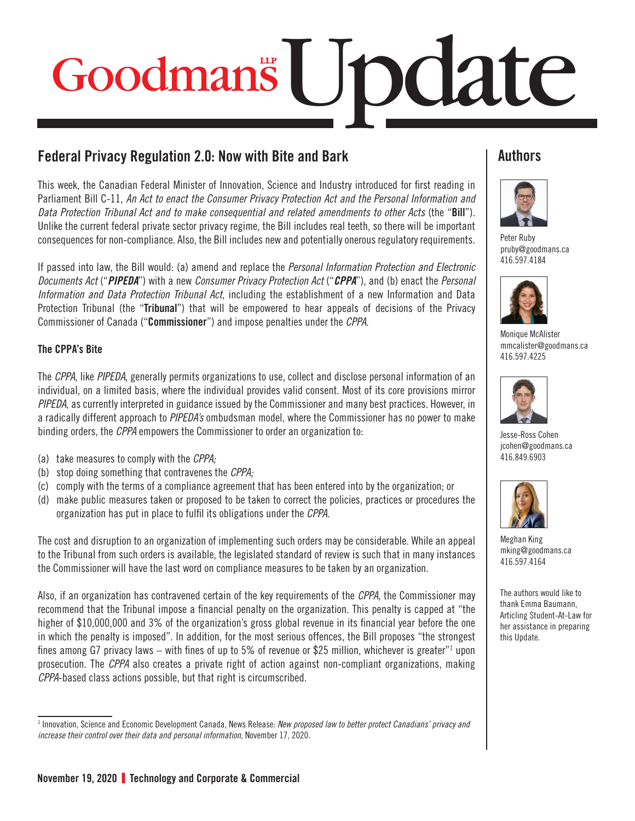# Goodmans | JDClate

# Federal Privacy Regulation 2.0: Now with Bite and Bark

This week, the Canadian Federal Minister of Innovation, Science and Industry introduced for first reading in Parliament Bill C-11, *An Act to enact the Consumer Privacy Protection Act and the Personal Information and Data Protection Tribunal Act and to make consequential and related amendments to other Acts* (the "**Bill**"). Unlike the current federal private sector privacy regime, the Bill includes real teeth, so there will be important consequences for non-compliance. Also, the Bill includes new and potentially onerous regulatory requirements.

If passed into law, the Bill would: (a) amend and replace the *Personal Information Protection and Electronic Documents Act* ("*PIPEDA*") with a new *Consumer Privacy Protection Act* ("*CPPA*"), and (b) enact the *Personal Information and Data Protection Tribunal Act*, including the establishment of a new Information and Data Protection Tribunal (the "**Tribunal**") that will be empowered to hear appeals of decisions of the Privacy Commissioner of Canada ("**Commissioner**") and impose penalties under the *CPPA*.

### The CPPA's Bite

The *CPPA*, like *PIPEDA*, generally permits organizations to use, collect and disclose personal information of an individual, on a limited basis, where the individual provides valid consent. Most of its core provisions mirror *PIPEDA*, as currently interpreted in guidance issued by the Commissioner and many best practices. However, in a radically different approach to *PIPEDA's* ombudsman model, where the Commissioner has no power to make binding orders, the *CPPA* empowers the Commissioner to order an organization to:

- (a) take measures to comply with the *CPPA;*
- (b) stop doing something that contravenes the *CPPA;*
- (c) comply with the terms of a compliance agreement that has been entered into by the organization; or
- (d) make public measures taken or proposed to be taken to correct the policies, practices or procedures the organization has put in place to fulfil its obligations under the *CPPA.*

The cost and disruption to an organization of implementing such orders may be considerable. While an appeal to the Tribunal from such orders is available, the legislated standard of review is such that in many instances the Commissioner will have the last word on compliance measures to be taken by an organization.

Also, if an organization has contravened certain of the key requirements of the *CPPA*, the Commissioner may recommend that the Tribunal impose a financial penalty on the organization. This penalty is capped at "the higher of \$10,000,000 and 3% of the organization's gross global revenue in its financial year before the one in which the penalty is imposed". In addition, for the most serious offences, the Bill proposes "the strongest fines among G7 privacy laws — with fines of up to 5% of revenue or \$25 million, whichever is greater"1 upon prosecution. The *CPPA* also creates a private right of action against non-compliant organizations, making *CPPA*-based class actions possible, but that right is circumscribed.

# **Authors**



[Peter Ruby](https://www.goodmans.ca/People/Peter_Ruby/) [pruby@goodmans.ca](mailto:pruby@goodmans.ca) 416.597.4184



[Monique McAlister](https://www.goodmans.ca/People/Monique_McAlister/) [mmcalister@goodmans.ca](mailto:mmcalister@goodmans.ca) 416.597.4225



[Jesse-Ross Cohen](https://www.goodmans.ca/People/Jesse_Ross_Cohen/)  [jcohen@goodmans.ca](mailto:jcohen@goodmans.ca) 416.849.6903



[Meghan King](https://www.goodmans.ca/People/Meghan_King) [mking@goodmans.ca](mailto:mking@goodmans.ca) 416.597.4164

The authors would like to thank Emma Baumann, Articling Student-At-Law for her assistance in preparing this Update.

<sup>1</sup> Innovation, Science and Economic Development Canada, News Release: *New proposed law to better protect Canadians' privacy and increase their control over their data and personal information*, November 17, 2020.